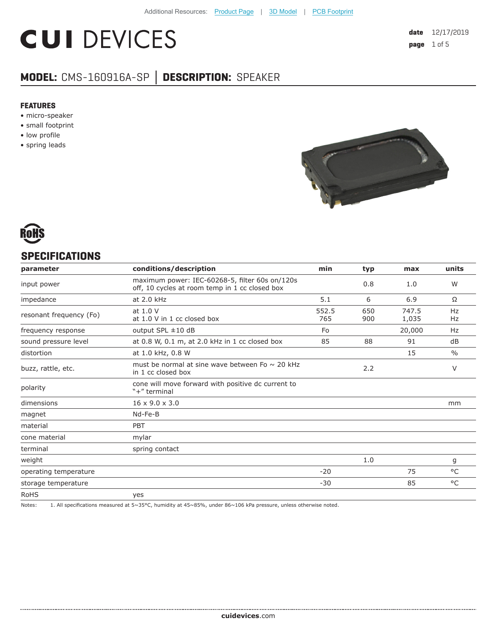# **CUI DEVICES**

## **MODEL:** CMS-160916A-SP **│ DESCRIPTION:** SPEAKER

#### **FEATURES**

- micro-speaker
- small footprint
- low profile
- spring leads





### **SPECIFICATIONS**

| parameter               | conditions/description                                                                           | min          | typ        | max            | units         |
|-------------------------|--------------------------------------------------------------------------------------------------|--------------|------------|----------------|---------------|
| input power             | maximum power: IEC-60268-5, filter 60s on/120s<br>off, 10 cycles at room temp in 1 cc closed box |              | 0.8        | 1.0            | W             |
| impedance               | at 2.0 kHz                                                                                       | 5.1          | 6          | 6.9            | Ω             |
| resonant frequency (Fo) | at 1.0 V<br>at 1.0 V in 1 cc closed box                                                          | 552.5<br>765 | 650<br>900 | 747.5<br>1,035 | Hz<br>Hz      |
| frequency response      | output SPL $\pm 10$ dB                                                                           | Fo           |            | 20,000         | Hz            |
| sound pressure level    | at 0.8 W, 0.1 m, at 2.0 kHz in 1 cc closed box                                                   | 85           | 88         | 91             | dB            |
| distortion              | at 1.0 kHz, 0.8 W                                                                                |              |            | 15             | $\frac{0}{0}$ |
| buzz, rattle, etc.      | must be normal at sine wave between Fo $\sim$ 20 kHz<br>in 1 cc closed box                       |              | 2.2        |                | V             |
| polarity                | cone will move forward with positive dc current to<br>"+" terminal                               |              |            |                |               |
| dimensions              | $16 \times 9.0 \times 3.0$                                                                       |              |            |                | mm            |
| magnet                  | Nd-Fe-B                                                                                          |              |            |                |               |
| material                | PBT                                                                                              |              |            |                |               |
| cone material           | mylar                                                                                            |              |            |                |               |
| terminal                | spring contact                                                                                   |              |            |                |               |
| weight                  |                                                                                                  |              | 1.0        |                | g             |
| operating temperature   |                                                                                                  | $-20$        |            | 75             | $^{\circ}$ C  |
| storage temperature     |                                                                                                  | $-30$        |            | 85             | °C            |
| <b>RoHS</b>             | yes                                                                                              |              |            |                |               |

Notes: 1. All specifications measured at 5~35°C, humidity at 45~85%, under 86~106 kPa pressure, unless otherwise noted.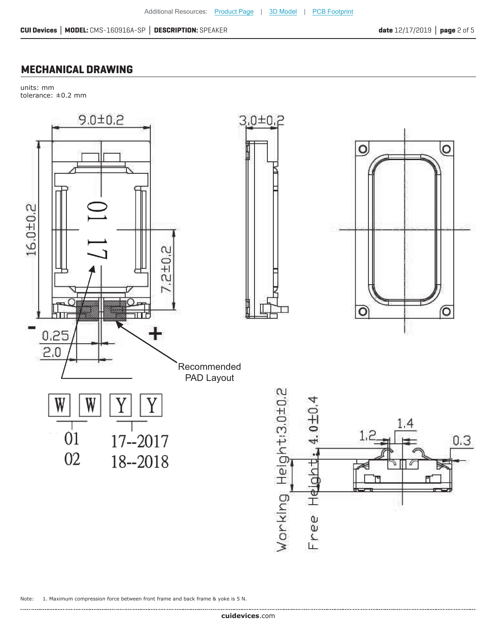## **MECHANICAL DRAWING**

units: mm tolerance: ±0.2 mm



Note: 1. Maximum compression force between front frame and back frame & yoke is 5 N.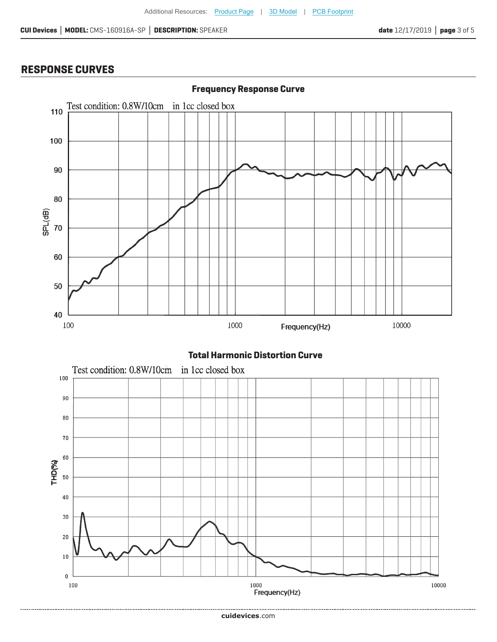## **RESPONSE CURVES**



#### **Total Harmonic Distortion Curve**

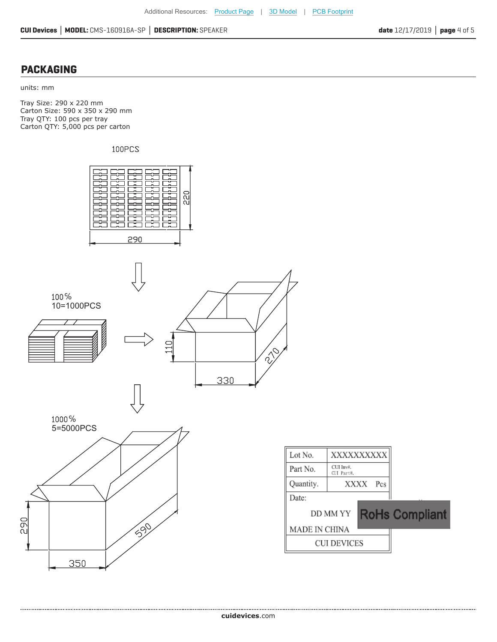#### **PACKAGING**

units: mm

Tray Size: 290 x 220 mm Carton Size: 590 x 350 x 290 mm Tray QTY: 100 pcs per tray Carton QTY: 5,000 pcs per carton